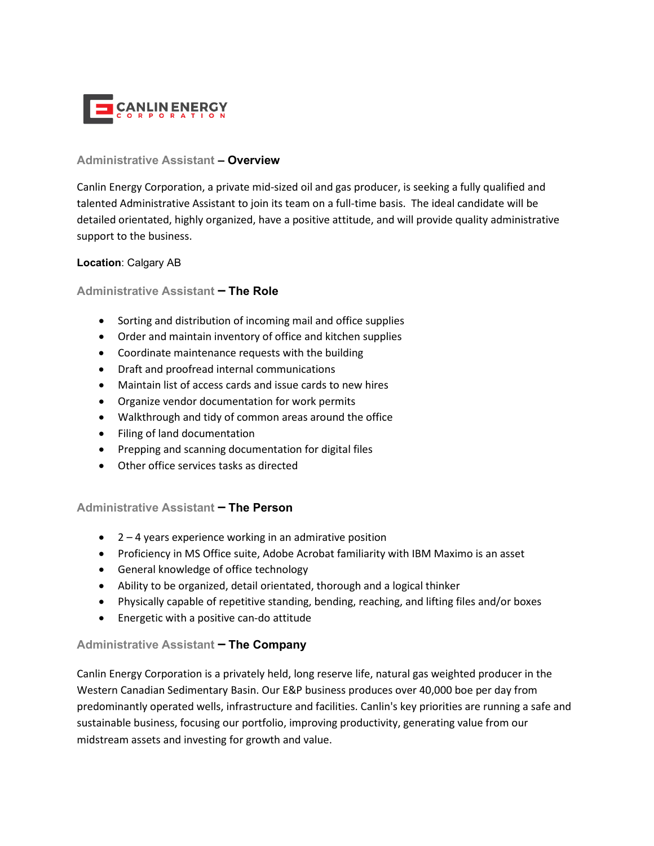

### **Administrative Assistant – Overview**

Canlin Energy Corporation, a private mid-sized oil and gas producer, is seeking a fully qualified and talented Administrative Assistant to join its team on a full-time basis. The ideal candidate will be detailed orientated, highly organized, have a positive attitude, and will provide quality administrative support to the business.

## **Location**: Calgary AB

## **Administrative Assistant – The Role**

- Sorting and distribution of incoming mail and office supplies
- Order and maintain inventory of office and kitchen supplies
- Coordinate maintenance requests with the building
- Draft and proofread internal communications
- Maintain list of access cards and issue cards to new hires
- Organize vendor documentation for work permits
- Walkthrough and tidy of common areas around the office
- Filing of land documentation
- Prepping and scanning documentation for digital files
- Other office services tasks as directed

# **Administrative Assistant – The Person**

- $\bullet$  2 4 years experience working in an admirative position
- Proficiency in MS Office suite, Adobe Acrobat familiarity with IBM Maximo is an asset
- General knowledge of office technology
- Ability to be organized, detail orientated, thorough and a logical thinker
- Physically capable of repetitive standing, bending, reaching, and lifting files and/or boxes
- Energetic with a positive can-do attitude

# **Administrative Assistant – The Company**

Canlin Energy Corporation is a privately held, long reserve life, natural gas weighted producer in the Western Canadian Sedimentary Basin. Our E&P business produces over 40,000 boe per day from predominantly operated wells, infrastructure and facilities. Canlin's key priorities are running a safe and sustainable business, focusing our portfolio, improving productivity, generating value from our midstream assets and investing for growth and value.